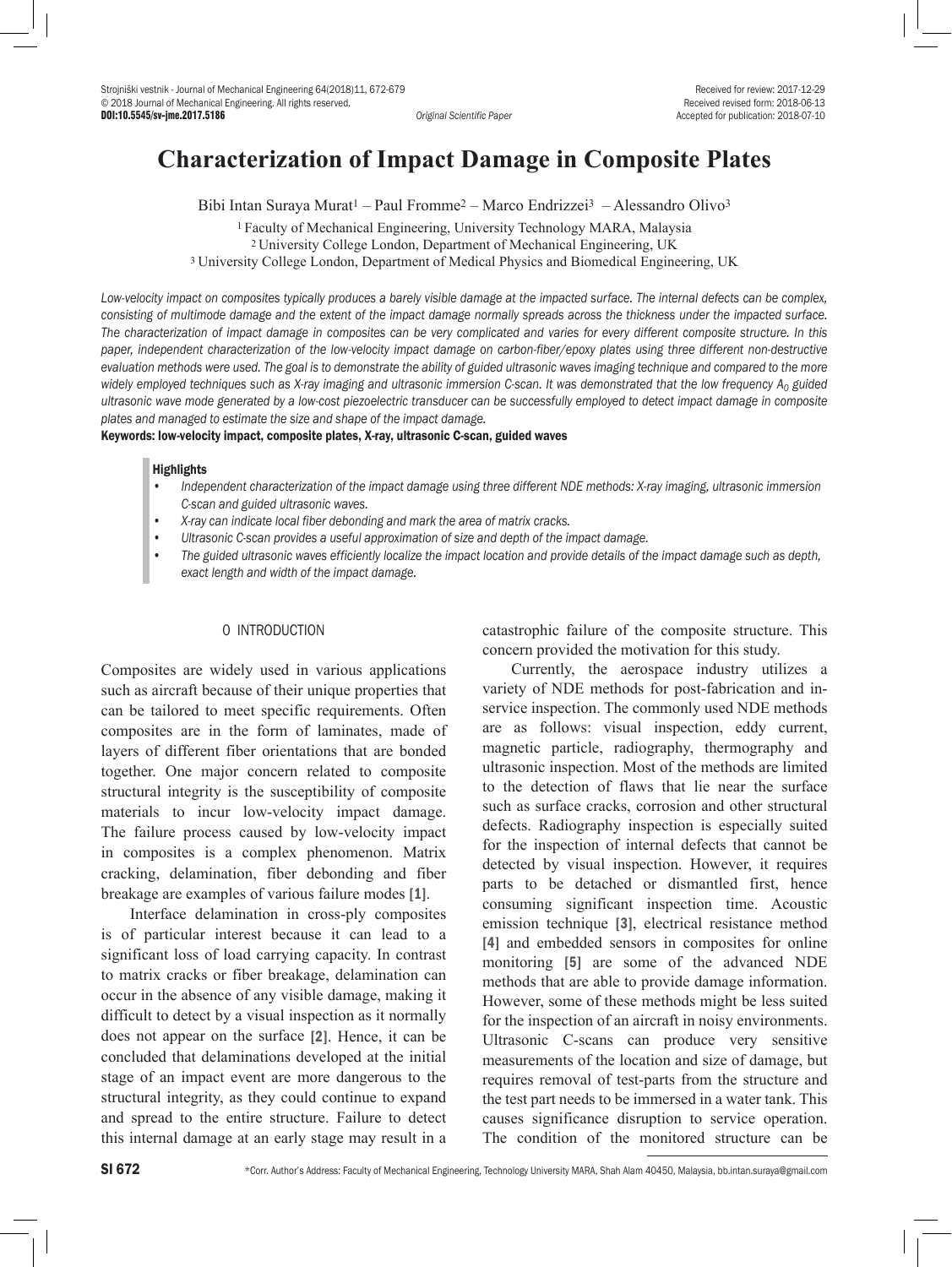DOI:10.5545/sv-jme.2017.5186 *Original Scientific Paper* Accepted for publication: 2018-07-10

# **Characterization of Impact Damage in Composite Plates**

Bibi Intan Suraya Murat<sup>1</sup> – Paul Fromme<sup>2</sup> – Marco Endrizzei<sup>3</sup> – Alessandro Olivo<sup>3</sup>

2 University College London, Department of Mechanical Engineering, UK

3 University College London, Department of Medical Physics and Biomedical Engineering, UK

*Low-velocity impact on composites typically produces a barely visible damage at the impacted surface. The internal defects can be complex, consisting of multimode damage and the extent of the impact damage normally spreads across the thickness under the impacted surface. The characterization of impact damage in composites can be very complicated and varies for every different composite structure. In this*  paper, independent characterization of the low-velocity impact damage on carbon-fiber/epoxy plates using three different non-destructive evaluation methods were used. The goal is to demonstrate the ability of guided ultrasonic waves imaging technique and compared to the more widely employed techniques such as X-ray imaging and ultrasonic immersion C-scan. It was demonstrated that the low frequency A<sub>0</sub> guided *ultrasonic wave mode generated by a low-cost piezoelectric transducer can be successfully employed to detect impact damage in composite plates and managed to estimate the size and shape of the impact damage.* 

Keywords: low-velocity impact, composite plates, X-ray, ultrasonic C-scan, guided waves

### **Highlights**

- *• Independent characterization of the impact damage using three different NDE methods: X-ray imaging, ultrasonic immersion C-scan and guided ultrasonic waves.*
- *• X-ray can indicate local fiber debonding and mark the area of matrix cracks.*
- *• Ultrasonic C-scan provides a useful approximation of size and depth of the impact damage.*
- *• The guided ultrasonic waves efficiently localize the impact location and provide details of the impact damage such as depth, exact length and width of the impact damage.*

# 0 INTRODUCTION

Composites are widely used in various applications such as aircraft because of their unique properties that can be tailored to meet specific requirements. Often composites are in the form of laminates, made of layers of different fiber orientations that are bonded together. One major concern related to composite structural integrity is the susceptibility of composite materials to incur low-velocity impact damage. The failure process caused by low-velocity impact in composites is a complex phenomenon. Matrix cracking, delamination, fiber debonding and fiber breakage are examples of various failure modes [1].

Interface delamination in cross-ply composites is of particular interest because it can lead to a significant loss of load carrying capacity. In contrast to matrix cracks or fiber breakage, delamination can occur in the absence of any visible damage, making it difficult to detect by a visual inspection as it normally does not appear on the surface [2]. Hence, it can be concluded that delaminations developed at the initial stage of an impact event are more dangerous to the structural integrity, as they could continue to expand and spread to the entire structure. Failure to detect this internal damage at an early stage may result in a

catastrophic failure of the composite structure. This concern provided the motivation for this study.

Currently, the aerospace industry utilizes a variety of NDE methods for post-fabrication and inservice inspection. The commonly used NDE methods are as follows: visual inspection, eddy current, magnetic particle, radiography, thermography and ultrasonic inspection. Most of the methods are limited to the detection of flaws that lie near the surface such as surface cracks, corrosion and other structural defects. Radiography inspection is especially suited for the inspection of internal defects that cannot be detected by visual inspection. However, it requires parts to be detached or dismantled first, hence consuming significant inspection time. Acoustic emission technique [3], electrical resistance method [4] and embedded sensors in composites for online monitoring [5] are some of the advanced NDE methods that are able to provide damage information. However, some of these methods might be less suited for the inspection of an aircraft in noisy environments. Ultrasonic C-scans can produce very sensitive measurements of the location and size of damage, but requires removal of test-parts from the structure and the test part needs to be immersed in a water tank. This causes significance disruption to service operation. The condition of the monitored structure can be

<sup>1</sup> Faculty of Mechanical Engineering, University Technology MARA, Malaysia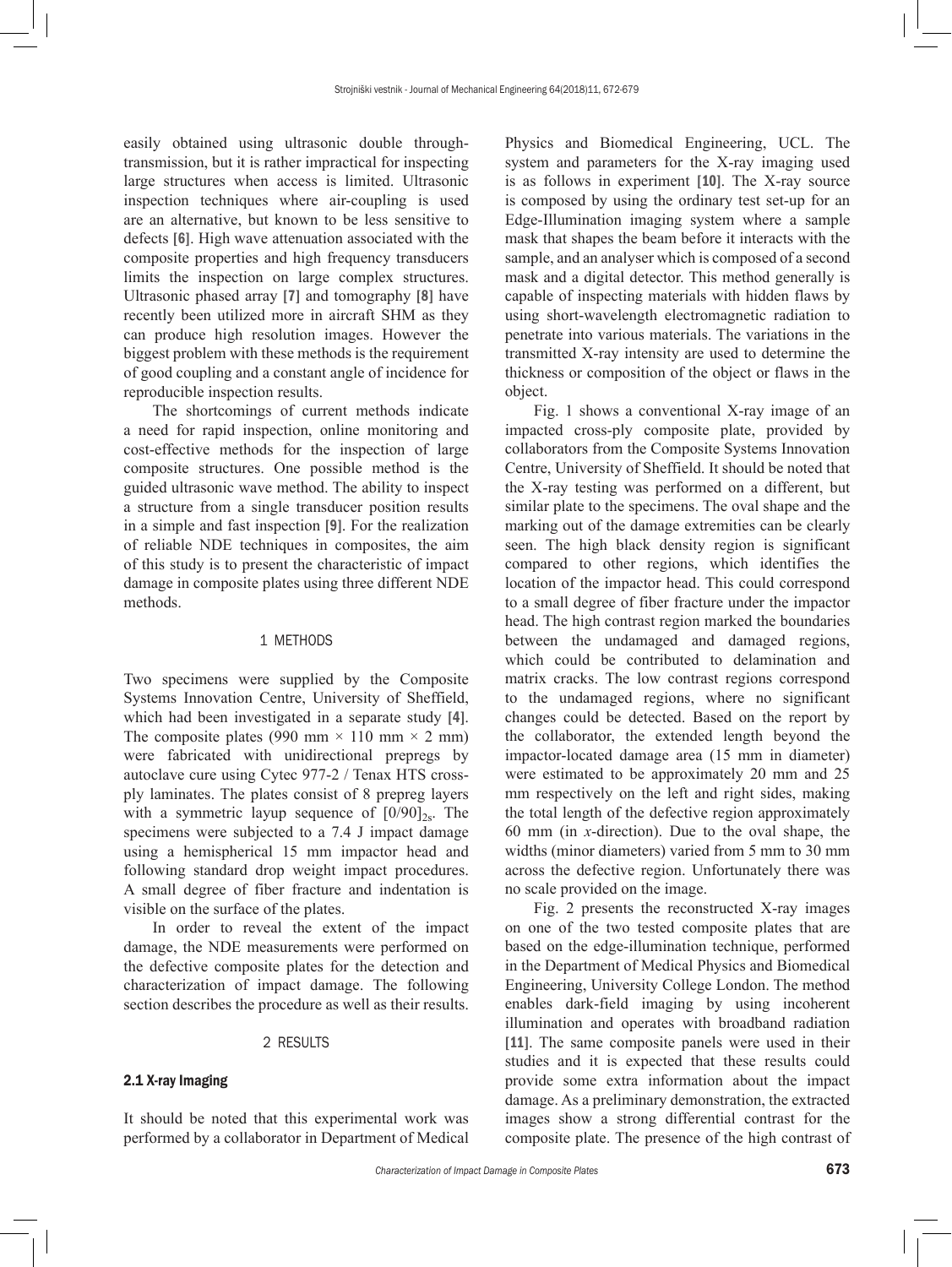easily obtained using ultrasonic double throughtransmission, but it is rather impractical for inspecting large structures when access is limited. Ultrasonic inspection techniques where air-coupling is used are an alternative, but known to be less sensitive to defects [6]. High wave attenuation associated with the composite properties and high frequency transducers limits the inspection on large complex structures. Ultrasonic phased array [7] and tomography [8] have recently been utilized more in aircraft SHM as they can produce high resolution images. However the biggest problem with these methods is the requirement of good coupling and a constant angle of incidence for reproducible inspection results.

The shortcomings of current methods indicate a need for rapid inspection, online monitoring and cost-effective methods for the inspection of large composite structures. One possible method is the guided ultrasonic wave method. The ability to inspect a structure from a single transducer position results in a simple and fast inspection [9]. For the realization of reliable NDE techniques in composites, the aim of this study is to present the characteristic of impact damage in composite plates using three different NDE methods.

### 1 METHODS

Two specimens were supplied by the Composite Systems Innovation Centre, University of Sheffield, which had been investigated in a separate study [4]. The composite plates (990 mm  $\times$  110 mm  $\times$  2 mm) were fabricated with unidirectional prepregs by autoclave cure using Cytec 977-2 / Tenax HTS crossply laminates. The plates consist of 8 prepreg layers with a symmetric layup sequence of  $[0/90]_{2s}$ . The specimens were subjected to a 7.4 J impact damage using a hemispherical 15 mm impactor head and following standard drop weight impact procedures. A small degree of fiber fracture and indentation is visible on the surface of the plates.

In order to reveal the extent of the impact damage, the NDE measurements were performed on the defective composite plates for the detection and characterization of impact damage. The following section describes the procedure as well as their results.

#### 2 RESULTS

# 2.1 X-ray Imaging

It should be noted that this experimental work was performed by a collaborator in Department of Medical Physics and Biomedical Engineering, UCL. The system and parameters for the X-ray imaging used is as follows in experiment [10]. The X-ray source is composed by using the ordinary test set-up for an Edge-Illumination imaging system where a sample mask that shapes the beam before it interacts with the sample, and an analyser which is composed of a second mask and a digital detector. This method generally is capable of inspecting materials with hidden flaws by using short-wavelength electromagnetic radiation to penetrate into various materials. The variations in the transmitted X-ray intensity are used to determine the thickness or composition of the object or flaws in the object.

Fig. 1 shows a conventional X-ray image of an impacted cross-ply composite plate, provided by collaborators from the Composite Systems Innovation Centre, University of Sheffield. It should be noted that the X-ray testing was performed on a different, but similar plate to the specimens. The oval shape and the marking out of the damage extremities can be clearly seen. The high black density region is significant compared to other regions, which identifies the location of the impactor head. This could correspond to a small degree of fiber fracture under the impactor head. The high contrast region marked the boundaries between the undamaged and damaged regions, which could be contributed to delamination and matrix cracks. The low contrast regions correspond to the undamaged regions, where no significant changes could be detected. Based on the report by the collaborator, the extended length beyond the impactor-located damage area (15 mm in diameter) were estimated to be approximately 20 mm and 25 mm respectively on the left and right sides, making the total length of the defective region approximately 60 mm (in *x*-direction). Due to the oval shape, the widths (minor diameters) varied from 5 mm to 30 mm across the defective region. Unfortunately there was no scale provided on the image.

Fig. 2 presents the reconstructed X-ray images on one of the two tested composite plates that are based on the edge-illumination technique, performed in the Department of Medical Physics and Biomedical Engineering, University College London. The method enables dark-field imaging by using incoherent illumination and operates with broadband radiation [11]. The same composite panels were used in their studies and it is expected that these results could provide some extra information about the impact damage. As a preliminary demonstration, the extracted images show a strong differential contrast for the composite plate. The presence of the high contrast of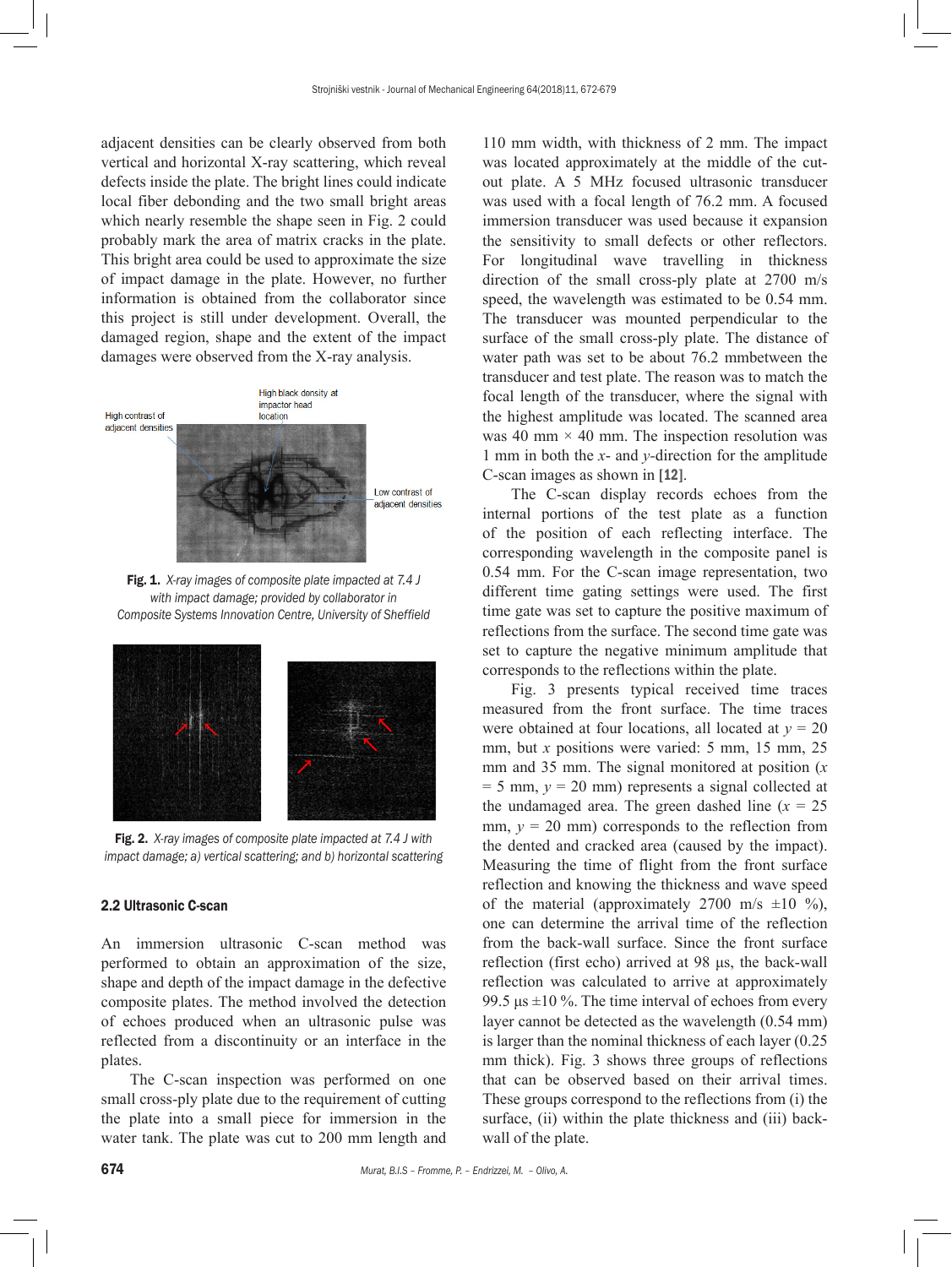adjacent densities can be clearly observed from both vertical and horizontal X-ray scattering, which reveal defects inside the plate. The bright lines could indicate local fiber debonding and the two small bright areas which nearly resemble the shape seen in Fig. 2 could probably mark the area of matrix cracks in the plate. This bright area could be used to approximate the size of impact damage in the plate. However, no further information is obtained from the collaborator since this project is still under development. Overall, the damaged region, shape and the extent of the impact damages were observed from the X-ray analysis.



Fig. 1. *X-ray images of composite plate impacted at 7.4 J with impact damage; provided by collaborator in Composite Systems Innovation Centre, University of Sheffield*



Fig. 2. *X-ray images of composite plate impacted at 7.4 J with impact damage; a) vertical scattering; and b) horizontal scattering*

# 2.2 Ultrasonic C-scan

An immersion ultrasonic C-scan method was performed to obtain an approximation of the size, shape and depth of the impact damage in the defective composite plates. The method involved the detection of echoes produced when an ultrasonic pulse was reflected from a discontinuity or an interface in the plates.

The C-scan inspection was performed on one small cross-ply plate due to the requirement of cutting the plate into a small piece for immersion in the water tank. The plate was cut to 200 mm length and 110 mm width, with thickness of 2 mm. The impact was located approximately at the middle of the cutout plate. A 5 MHz focused ultrasonic transducer was used with a focal length of 76.2 mm. A focused immersion transducer was used because it expansion the sensitivity to small defects or other reflectors. For longitudinal wave travelling in thickness direction of the small cross-ply plate at 2700 m/s speed, the wavelength was estimated to be 0.54 mm. The transducer was mounted perpendicular to the surface of the small cross-ply plate. The distance of water path was set to be about 76.2 mmbetween the transducer and test plate. The reason was to match the focal length of the transducer, where the signal with the highest amplitude was located. The scanned area was 40 mm  $\times$  40 mm. The inspection resolution was 1 mm in both the *x*- and *y-*direction for the amplitude C-scan images as shown in [12].

The C-scan display records echoes from the internal portions of the test plate as a function of the position of each reflecting interface. The corresponding wavelength in the composite panel is 0.54 mm. For the C-scan image representation, two different time gating settings were used. The first time gate was set to capture the positive maximum of reflections from the surface. The second time gate was set to capture the negative minimum amplitude that corresponds to the reflections within the plate.

Fig. 3 presents typical received time traces measured from the front surface. The time traces were obtained at four locations, all located at  $y = 20$ mm, but *x* positions were varied: 5 mm, 15 mm, 25 mm and 35 mm. The signal monitored at position (*x*  $= 5$  mm,  $y = 20$  mm) represents a signal collected at the undamaged area. The green dashed line  $(x = 25$ mm,  $y = 20$  mm) corresponds to the reflection from the dented and cracked area (caused by the impact). Measuring the time of flight from the front surface reflection and knowing the thickness and wave speed of the material (approximately 2700 m/s  $\pm 10$  %), one can determine the arrival time of the reflection from the back-wall surface. Since the front surface reflection (first echo) arrived at 98 μs, the back-wall reflection was calculated to arrive at approximately 99.5 μs  $\pm$ 10 %. The time interval of echoes from every layer cannot be detected as the wavelength (0.54 mm) is larger than the nominal thickness of each layer (0.25 mm thick). Fig. 3 shows three groups of reflections that can be observed based on their arrival times. These groups correspond to the reflections from (i) the surface, (ii) within the plate thickness and (iii) backwall of the plate.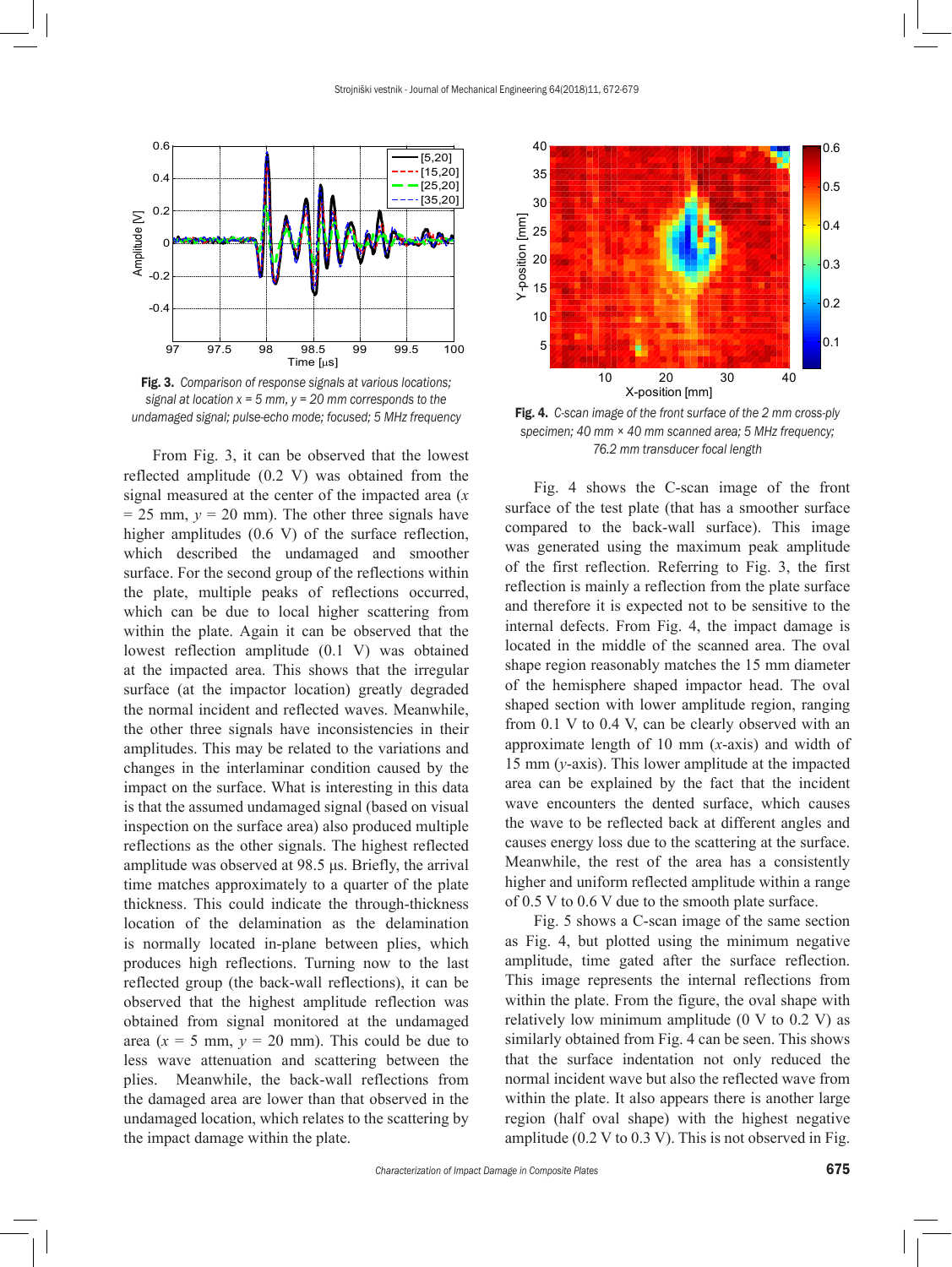

Fig. 3. *Comparison of response signals at various locations; signal at location x = 5 mm, y = 20 mm corresponds to the undamaged signal; pulse-echo mode; focused; 5 MHz frequency*

From Fig. 3, it can be observed that the lowest reflected amplitude (0.2 V) was obtained from the signal measured at the center of the impacted area (*x*  $= 25$  mm,  $y = 20$  mm). The other three signals have higher amplitudes (0.6 V) of the surface reflection, which described the undamaged and smoother surface. For the second group of the reflections within the plate, multiple peaks of reflections occurred, which can be due to local higher scattering from within the plate. Again it can be observed that the lowest reflection amplitude (0.1 V) was obtained at the impacted area. This shows that the irregular surface (at the impactor location) greatly degraded the normal incident and reflected waves. Meanwhile, the other three signals have inconsistencies in their amplitudes. This may be related to the variations and changes in the interlaminar condition caused by the impact on the surface. What is interesting in this data is that the assumed undamaged signal (based on visual inspection on the surface area) also produced multiple reflections as the other signals. The highest reflected amplitude was observed at 98.5 μs. Briefly, the arrival time matches approximately to a quarter of the plate thickness. This could indicate the through-thickness location of the delamination as the delamination is normally located in-plane between plies, which produces high reflections. Turning now to the last reflected group (the back-wall reflections), it can be observed that the highest amplitude reflection was obtained from signal monitored at the undamaged area  $(x = 5$  mm,  $y = 20$  mm). This could be due to less wave attenuation and scattering between the plies. Meanwhile, the back-wall reflections from the damaged area are lower than that observed in the undamaged location, which relates to the scattering by the impact damage within the plate.



Fig. 4. *C-scan image of the front surface of the 2 mm cross-ply specimen; 40 mm × 40 mm scanned area; 5 MHz frequency; 76.2 mm transducer focal length*

Fig. 4 shows the C-scan image of the front surface of the test plate (that has a smoother surface compared to the back-wall surface). This image was generated using the maximum peak amplitude of the first reflection. Referring to Fig. 3, the first reflection is mainly a reflection from the plate surface and therefore it is expected not to be sensitive to the internal defects. From Fig. 4, the impact damage is located in the middle of the scanned area. The oval shape region reasonably matches the 15 mm diameter of the hemisphere shaped impactor head. The oval shaped section with lower amplitude region, ranging from 0.1 V to 0.4 V, can be clearly observed with an approximate length of 10 mm (*x*-axis) and width of 15 mm (*y*-axis). This lower amplitude at the impacted area can be explained by the fact that the incident wave encounters the dented surface, which causes the wave to be reflected back at different angles and causes energy loss due to the scattering at the surface. Meanwhile, the rest of the area has a consistently higher and uniform reflected amplitude within a range of 0.5 V to 0.6 V due to the smooth plate surface.

Fig. 5 shows a C-scan image of the same section as Fig. 4, but plotted using the minimum negative amplitude, time gated after the surface reflection. This image represents the internal reflections from within the plate. From the figure, the oval shape with relatively low minimum amplitude  $(0 V to 0.2 V)$  as similarly obtained from Fig. 4 can be seen. This shows that the surface indentation not only reduced the normal incident wave but also the reflected wave from within the plate. It also appears there is another large region (half oval shape) with the highest negative amplitude (0.2 V to 0.3 V). This is not observed in Fig.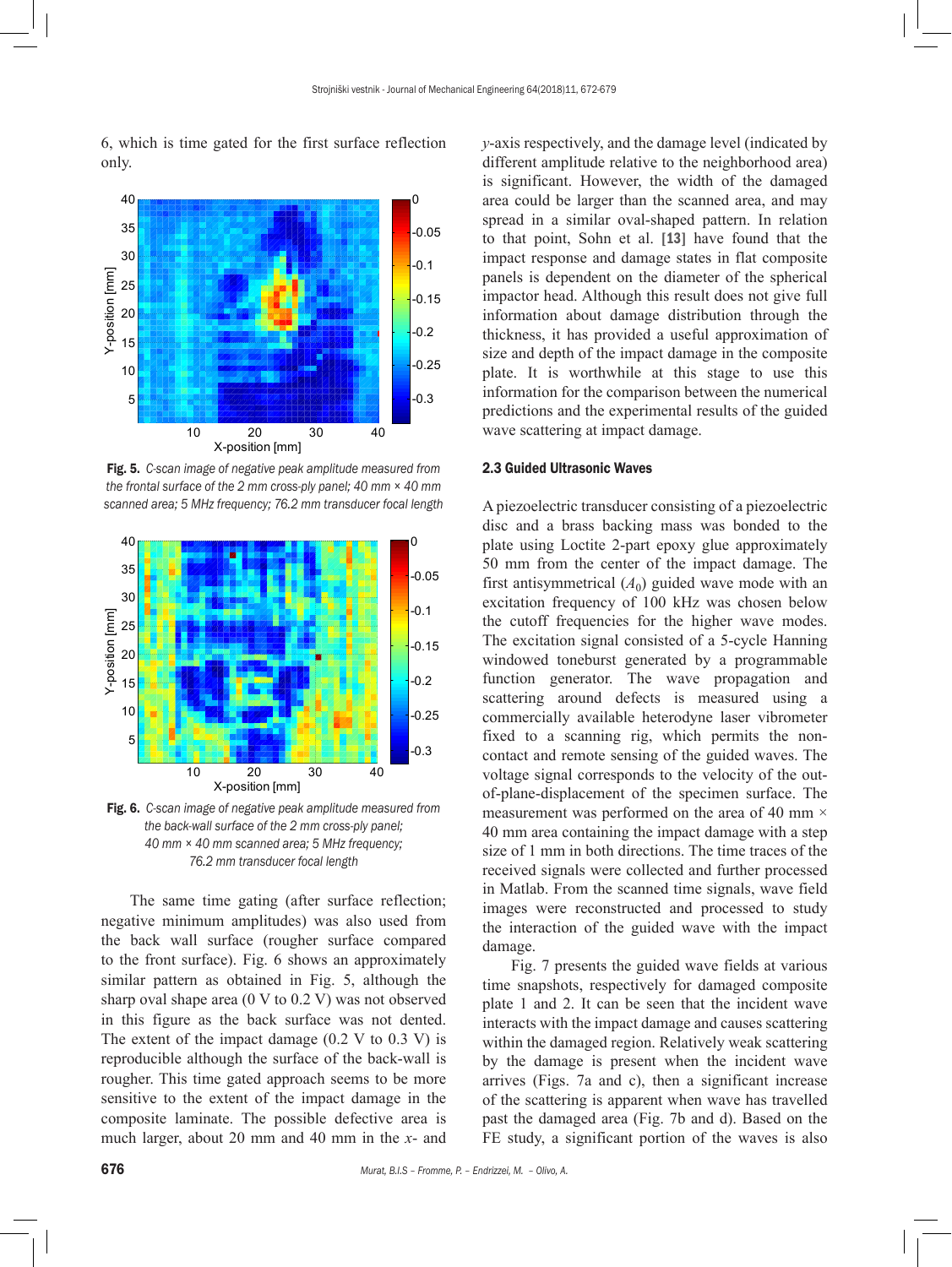6, which is time gated for the first surface reflection only.



Fig. 5. *C-scan image of negative peak amplitude measured from the frontal surface of the 2 mm cross-ply panel; 40 mm × 40 mm scanned area; 5 MHz frequency; 76.2 mm transducer focal length*



Fig. 6. *C-scan image of negative peak amplitude measured from the back-wall surface of the 2 mm cross-ply panel; 40 mm × 40 mm scanned area; 5 MHz frequency; 76.2 mm transducer focal length*

The same time gating (after surface reflection; negative minimum amplitudes) was also used from the back wall surface (rougher surface compared to the front surface). Fig. 6 shows an approximately similar pattern as obtained in Fig. 5, although the sharp oval shape area (0 V to 0.2 V) was not observed in this figure as the back surface was not dented. The extent of the impact damage  $(0.2 \text{ V to } 0.3 \text{ V})$  is reproducible although the surface of the back-wall is rougher. This time gated approach seems to be more sensitive to the extent of the impact damage in the composite laminate. The possible defective area is much larger, about 20 mm and 40 mm in the *x*- and *y*-axis respectively, and the damage level (indicated by different amplitude relative to the neighborhood area) is significant. However, the width of the damaged area could be larger than the scanned area, and may spread in a similar oval-shaped pattern. In relation to that point, Sohn et al. [13] have found that the impact response and damage states in flat composite panels is dependent on the diameter of the spherical impactor head. Although this result does not give full information about damage distribution through the thickness, it has provided a useful approximation of size and depth of the impact damage in the composite plate. It is worthwhile at this stage to use this information for the comparison between the numerical predictions and the experimental results of the guided wave scattering at impact damage.

# 2.3 Guided Ultrasonic Waves

A piezoelectric transducer consisting of a piezoelectric disc and a brass backing mass was bonded to the plate using Loctite 2-part epoxy glue approximately 50 mm from the center of the impact damage. The first antisymmetrical  $(A_0)$  guided wave mode with an excitation frequency of 100 kHz was chosen below the cutoff frequencies for the higher wave modes. The excitation signal consisted of a 5-cycle Hanning windowed toneburst generated by a programmable function generator. The wave propagation and scattering around defects is measured using a commercially available heterodyne laser vibrometer fixed to a scanning rig, which permits the noncontact and remote sensing of the guided waves. The voltage signal corresponds to the velocity of the outof-plane-displacement of the specimen surface. The measurement was performed on the area of 40 mm  $\times$ 40 mm area containing the impact damage with a step size of 1 mm in both directions. The time traces of the received signals were collected and further processed in Matlab. From the scanned time signals, wave field images were reconstructed and processed to study the interaction of the guided wave with the impact damage.

Fig. 7 presents the guided wave fields at various time snapshots, respectively for damaged composite plate 1 and 2. It can be seen that the incident wave interacts with the impact damage and causes scattering within the damaged region. Relatively weak scattering by the damage is present when the incident wave arrives (Figs. 7a and c), then a significant increase of the scattering is apparent when wave has travelled past the damaged area (Fig. 7b and d). Based on the FE study, a significant portion of the waves is also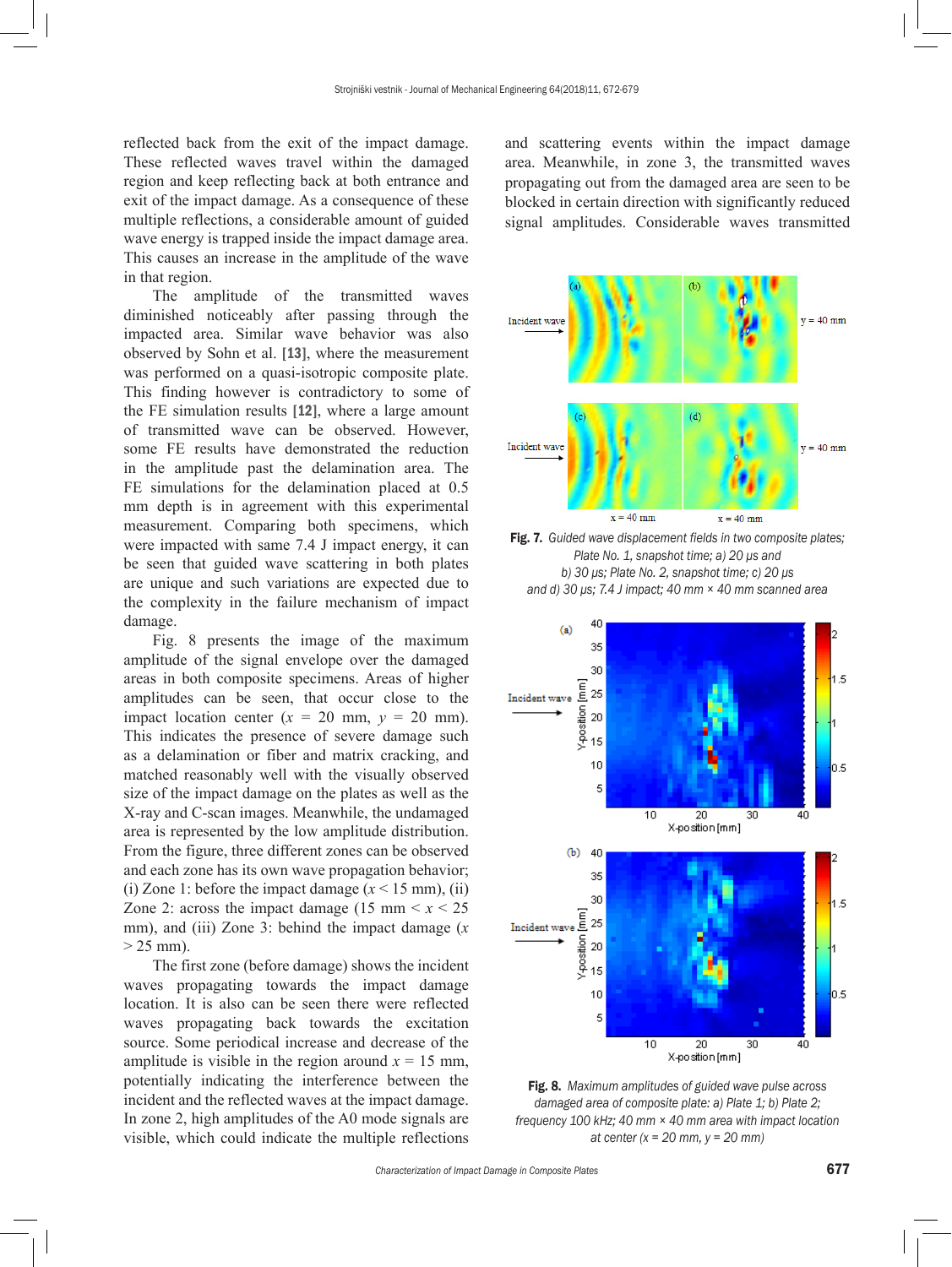reflected back from the exit of the impact damage. These reflected waves travel within the damaged region and keep reflecting back at both entrance and exit of the impact damage. As a consequence of these multiple reflections, a considerable amount of guided wave energy is trapped inside the impact damage area. This causes an increase in the amplitude of the wave in that region.

The amplitude of the transmitted waves diminished noticeably after passing through the impacted area. Similar wave behavior was also observed by Sohn et al. [13], where the measurement was performed on a quasi-isotropic composite plate. This finding however is contradictory to some of the FE simulation results [12], where a large amount of transmitted wave can be observed. However, some FE results have demonstrated the reduction in the amplitude past the delamination area. The FE simulations for the delamination placed at 0.5 mm depth is in agreement with this experimental measurement. Comparing both specimens, which were impacted with same 7.4 J impact energy, it can be seen that guided wave scattering in both plates are unique and such variations are expected due to the complexity in the failure mechanism of impact damage.

Fig. 8 presents the image of the maximum amplitude of the signal envelope over the damaged areas in both composite specimens. Areas of higher amplitudes can be seen, that occur close to the impact location center  $(x = 20 \text{ mm}, y = 20 \text{ mm})$ . This indicates the presence of severe damage such as a delamination or fiber and matrix cracking, and matched reasonably well with the visually observed size of the impact damage on the plates as well as the X-ray and C-scan images. Meanwhile, the undamaged area is represented by the low amplitude distribution. From the figure, three different zones can be observed and each zone has its own wave propagation behavior; (i) Zone 1: before the impact damage  $(x < 15$  mm), (ii) Zone 2: across the impact damage  $(15 \text{ mm} < x < 25)$ mm), and (iii) Zone 3: behind the impact damage (*x*  $> 25$  mm).

The first zone (before damage) shows the incident waves propagating towards the impact damage location. It is also can be seen there were reflected waves propagating back towards the excitation source. Some periodical increase and decrease of the amplitude is visible in the region around  $x = 15$  mm, potentially indicating the interference between the incident and the reflected waves at the impact damage. In zone 2, high amplitudes of the A0 mode signals are visible, which could indicate the multiple reflections and scattering events within the impact damage area. Meanwhile, in zone 3, the transmitted waves propagating out from the damaged area are seen to be blocked in certain direction with significantly reduced signal amplitudes. Considerable waves transmitted



Fig. 7. *Guided wave displacement fields in two composite plates; Plate No. 1, snapshot time; a) 20 μs and b) 30 μs; Plate No. 2, snapshot time; c) 20 μs and d) 30 μs; 7.4 J impact; 40 mm × 40 mm scanned area*



Fig. 8. *Maximum amplitudes of guided wave pulse across damaged area of composite plate: a) Plate 1; b) Plate 2; frequency 100 kHz; 40 mm × 40 mm area with impact location at center (x = 20 mm, y = 20 mm)*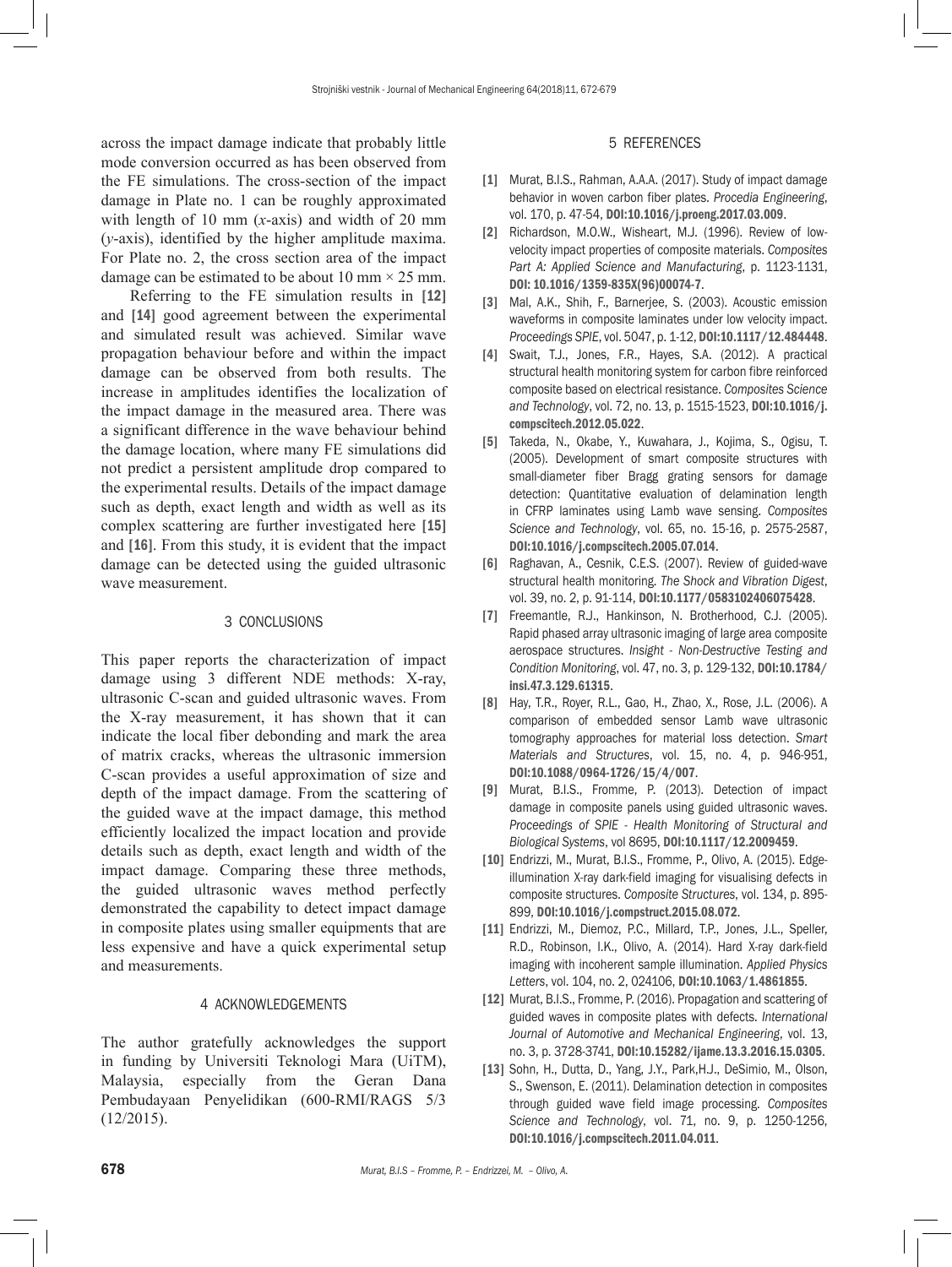across the impact damage indicate that probably little mode conversion occurred as has been observed from the FE simulations. The cross-section of the impact damage in Plate no. 1 can be roughly approximated with length of 10 mm (*x*-axis) and width of 20 mm (*y*-axis), identified by the higher amplitude maxima. For Plate no. 2, the cross section area of the impact damage can be estimated to be about 10 mm  $\times$  25 mm.

Referring to the FE simulation results in [12] and [14] good agreement between the experimental and simulated result was achieved. Similar wave propagation behaviour before and within the impact damage can be observed from both results. The increase in amplitudes identifies the localization of the impact damage in the measured area. There was a significant difference in the wave behaviour behind the damage location, where many FE simulations did not predict a persistent amplitude drop compared to the experimental results. Details of the impact damage such as depth, exact length and width as well as its complex scattering are further investigated here [15] and [16]. From this study, it is evident that the impact damage can be detected using the guided ultrasonic wave measurement.

# 3 CONCLUSIONS

This paper reports the characterization of impact damage using 3 different NDE methods: X-ray, ultrasonic C-scan and guided ultrasonic waves. From the X-ray measurement, it has shown that it can indicate the local fiber debonding and mark the area of matrix cracks, whereas the ultrasonic immersion C-scan provides a useful approximation of size and depth of the impact damage. From the scattering of the guided wave at the impact damage, this method efficiently localized the impact location and provide details such as depth, exact length and width of the impact damage. Comparing these three methods, the guided ultrasonic waves method perfectly demonstrated the capability to detect impact damage in composite plates using smaller equipments that are less expensive and have a quick experimental setup and measurements.

# 4 ACKNOWLEDGEMENTS

The author gratefully acknowledges the support in funding by Universiti Teknologi Mara (UiTM), Malaysia, especially from the Geran Dana Pembudayaan Penyelidikan (600-RMI/RAGS 5/3 (12/2015).

#### 5 REFERENCES

- [1] Murat, B.I.S., Rahman, A.A.A. (2017). Study of impact damage behavior in woven carbon fiber plates. *Procedia Engineering*, vol. 170, p. 47-54, [DOI:10.1016/j.proeng.2017.03.009](https://doi.org/10.1016/j.proeng.2017.03.009).
- [2] Richardson, M.O.W., Wisheart, M.J. (1996). Review of lowvelocity impact properties of composite materials. *Composites Part A: Applied Science and Manufacturing*, p. 1123-1131, [DOI: 10.1016/1359-835X\(96\)00074-7](https://doi.org/10.1016/1359-835X(96)00074-7).
- [3] Mal, A.K., Shih, F., Barnerjee, S. (2003). Acoustic emission waveforms in composite laminates under low velocity impact. *Proceedings SPIE*, vol. 5047, p. 1-12, [DOI:10.1117/12.484448](https://doi.org/10.1117/12.484448).
- [4] Swait, T.J., Jones, F.R., Hayes, S.A. (2012). A practical structural health monitoring system for carbon fibre reinforced composite based on electrical resistance. *Composites Science and Technology*, vol. 72, no. 13, p. 1515-1523, [DOI:10.1016/j.](https://doi.org/10.1016/j.compscitech.2012.05.022) [compscitech.2012.05.022](https://doi.org/10.1016/j.compscitech.2012.05.022).
- [5] Takeda, N., Okabe, Y., Kuwahara, J., Kojima, S., Ogisu, T. (2005). Development of smart composite structures with small-diameter fiber Bragg grating sensors for damage detection: Quantitative evaluation of delamination length in CFRP laminates using Lamb wave sensing. *Composites Science and Technology*, vol. 65, no. 15-16, p. 2575-2587, [DOI:10.1016/j.compscitech.2005.07.014](https://doi.org/10.1016/j.compscitech.2005.07.014).
- [6] Raghavan, A., Cesnik, C.E.S. (2007). Review of guided-wave structural health monitoring. *The Shock and Vibration Digest*, vol. 39, no. 2, p. 91-114, [DOI:10.1177/0583102406075428](https://doi.org/10.1177/0583102406075428).
- [7] Freemantle, R.J., Hankinson, N. Brotherhood, C.J. (2005). Rapid phased array ultrasonic imaging of large area composite aerospace structures. *Insight - Non-Destructive Testing and Condition Monitoring*, vol. 47, no. 3, p. 129-132, [DOI:10.1784/](https://doi.org/10.1784/insi.47.3.129.61315) [insi.47.3.129.61315](https://doi.org/10.1784/insi.47.3.129.61315).
- [8] Hay, T.R., Royer, R.L., Gao, H., Zhao, X., Rose, J.L. (2006). A comparison of embedded sensor Lamb wave ultrasonic tomography approaches for material loss detection. *Smart Materials and Structures*, vol. 15, no. 4, p. 946-951, [DOI:10.1088/0964-1726/15/4/007](https://doi.org/10.1088/0964-1726/15/4/007).
- [9] Murat, B.I.S., Fromme, P. (2013). Detection of impact damage in composite panels using guided ultrasonic waves. *Proceedings of SPIE - Health Monitoring of Structural and Biological Systems*, vol 8695, [DOI:10.1117/12.2009459](https://doi.org/10.1117/12.2009459).
- [10] Endrizzi, M., Murat, B.I.S., Fromme, P., Olivo, A. (2015). Edgeillumination X-ray dark-field imaging for visualising defects in composite structures. *Composite Structures*, vol. 134, p. 895- 899, [DOI:10.1016/j.compstruct.2015.08.072](https://doi.org/10.1016/j.compstruct.2015.08.072).
- [11] Endrizzi, M., Diemoz, P.C., Millard, T.P., Jones, J.L., Speller, R.D., Robinson, I.K., Olivo, A. (2014). Hard X-ray dark-field imaging with incoherent sample illumination. *Applied Physics Letters*, vol. 104, no. 2, 024106, [DOI:10.1063/1.4861855](https://doi.org/10.1063/1.4861855).
- [12] Murat, B.I.S., Fromme, P. (2016). Propagation and scattering of guided waves in composite plates with defects. *International Journal of Automotive and Mechanical Engineering*, vol. 13, no. 3, p. 3728-3741, [DOI:10.15282/ijame.13.3.2016.15.0305](https://doi.org/10.15282/ijame.13.3.2016.15.0305).
- [13] Sohn, H., Dutta, D., Yang, J.Y., Park, H.J., DeSimio, M., Olson, S., Swenson, E. (2011). Delamination detection in composites through guided wave field image processing. *Composites Science and Technology*, vol. 71, no. 9, p. 1250-1256, [DOI:10.1016/j.compscitech.2011.04.011](https://doi.org/10.1016/j.compscitech.2011.04.011).